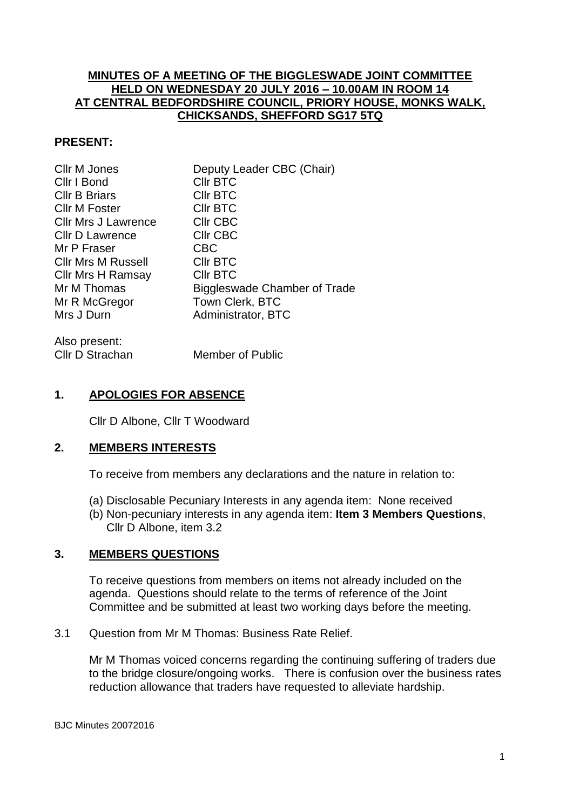## **MINUTES OF A MEETING OF THE BIGGLESWADE JOINT COMMITTEE HELD ON WEDNESDAY 20 JULY 2016 – 10.00AM IN ROOM 14 AT CENTRAL BEDFORDSHIRE COUNCIL, PRIORY HOUSE, MONKS WALK, CHICKSANDS, SHEFFORD SG17 5TQ**

### **PRESENT:**

| Cllr M Jones               | Deputy Leader CBC (Chair)    |
|----------------------------|------------------------------|
| Cllr I Bond                | <b>CIIr BTC</b>              |
| <b>Cllr B Briars</b>       | <b>CIIr BTC</b>              |
| <b>Cllr M Foster</b>       | <b>CIIr BTC</b>              |
| <b>CIIr Mrs J Lawrence</b> | CIIr CBC                     |
| <b>CIIr D Lawrence</b>     | CIIr CBC                     |
| Mr P Fraser                | <b>CBC</b>                   |
| <b>CIIr Mrs M Russell</b>  | <b>CIIr BTC</b>              |
| <b>Cllr Mrs H Ramsay</b>   | <b>CIIr BTC</b>              |
| Mr M Thomas                | Biggleswade Chamber of Trade |
| Mr R McGregor              | Town Clerk, BTC              |
| Mrs J Durn                 | Administrator, BTC           |
|                            |                              |

| Also present:   |                  |
|-----------------|------------------|
| Cllr D Strachan | Member of Public |

### **1. APOLOGIES FOR ABSENCE**

Cllr D Albone, Cllr T Woodward

#### **2. MEMBERS INTERESTS**

To receive from members any declarations and the nature in relation to:

- (a) Disclosable Pecuniary Interests in any agenda item: None received
- (b) Non-pecuniary interests in any agenda item: **Item 3 Members Questions**, Cllr D Albone, item 3.2

### **3. MEMBERS QUESTIONS**

To receive questions from members on items not already included on the agenda. Questions should relate to the terms of reference of the Joint Committee and be submitted at least two working days before the meeting.

3.1 Question from Mr M Thomas: Business Rate Relief.

Mr M Thomas voiced concerns regarding the continuing suffering of traders due to the bridge closure/ongoing works. There is confusion over the business rates reduction allowance that traders have requested to alleviate hardship.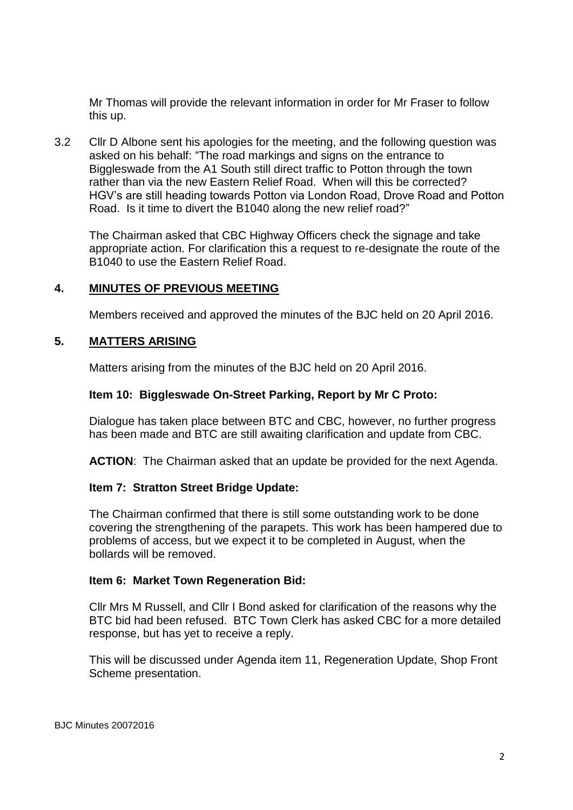Mr Thomas will provide the relevant information in order for Mr Fraser to follow this up.

3.2 Cllr D Albone sent his apologies for the meeting, and the following question was asked on his behalf: "The road markings and signs on the entrance to Biggleswade from the A1 South still direct traffic to Potton through the town rather than via the new Eastern Relief Road. When will this be corrected? HGV's are still heading towards Potton via London Road, Drove Road and Potton Road. Is it time to divert the B1040 along the new relief road?"

The Chairman asked that CBC Highway Officers check the signage and take appropriate action. For clarification this a request to re-designate the route of the B1040 to use the Eastern Relief Road.

### **4. MINUTES OF PREVIOUS MEETING**

Members received and approved the minutes of the BJC held on 20 April 2016.

## **5. MATTERS ARISING**

Matters arising from the minutes of the BJC held on 20 April 2016.

#### **Item 10: Biggleswade On-Street Parking, Report by Mr C Proto:**

Dialogue has taken place between BTC and CBC, however, no further progress has been made and BTC are still awaiting clarification and update from CBC.

**ACTION**: The Chairman asked that an update be provided for the next Agenda.

### **Item 7: Stratton Street Bridge Update:**

The Chairman confirmed that there is still some outstanding work to be done covering the strengthening of the parapets. This work has been hampered due to problems of access, but we expect it to be completed in August, when the bollards will be removed.

### **Item 6: Market Town Regeneration Bid:**

Cllr Mrs M Russell, and Cllr I Bond asked for clarification of the reasons why the BTC bid had been refused. BTC Town Clerk has asked CBC for a more detailed response, but has yet to receive a reply.

This will be discussed under Agenda item 11, Regeneration Update, Shop Front Scheme presentation.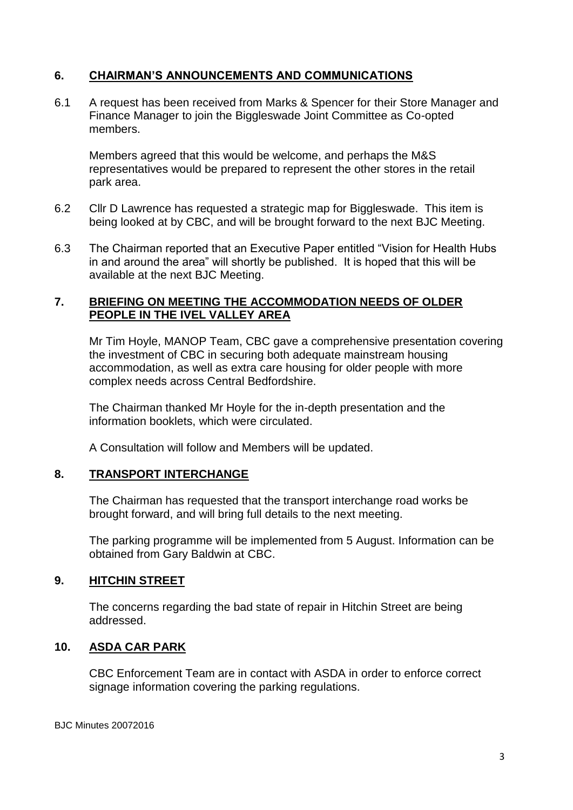# **6. CHAIRMAN'S ANNOUNCEMENTS AND COMMUNICATIONS**

6.1 A request has been received from Marks & Spencer for their Store Manager and Finance Manager to join the Biggleswade Joint Committee as Co-opted members.

Members agreed that this would be welcome, and perhaps the M&S representatives would be prepared to represent the other stores in the retail park area.

- 6.2 Cllr D Lawrence has requested a strategic map for Biggleswade. This item is being looked at by CBC, and will be brought forward to the next BJC Meeting.
- 6.3 The Chairman reported that an Executive Paper entitled "Vision for Health Hubs in and around the area" will shortly be published. It is hoped that this will be available at the next BJC Meeting.

### **7. BRIEFING ON MEETING THE ACCOMMODATION NEEDS OF OLDER PEOPLE IN THE IVEL VALLEY AREA**

Mr Tim Hoyle, MANOP Team, CBC gave a comprehensive presentation covering the investment of CBC in securing both adequate mainstream housing accommodation, as well as extra care housing for older people with more complex needs across Central Bedfordshire.

The Chairman thanked Mr Hoyle for the in-depth presentation and the information booklets, which were circulated.

A Consultation will follow and Members will be updated.

### **8. TRANSPORT INTERCHANGE**

The Chairman has requested that the transport interchange road works be brought forward, and will bring full details to the next meeting.

The parking programme will be implemented from 5 August. Information can be obtained from Gary Baldwin at CBC.

# **9. HITCHIN STREET**

The concerns regarding the bad state of repair in Hitchin Street are being addressed.

# **10. ASDA CAR PARK**

CBC Enforcement Team are in contact with ASDA in order to enforce correct signage information covering the parking regulations.